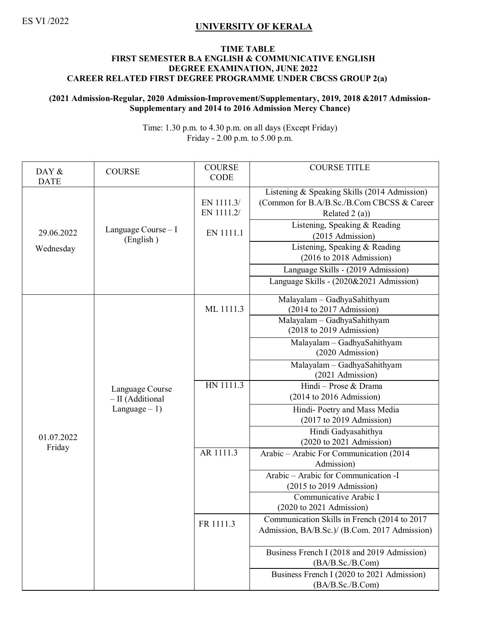## ES VI /2022 **UNIVERSITY OF KERALA**

## **TIME TABLE FIRST SEMESTER B.A ENGLISH & COMMUNICATIVE ENGLISH DEGREE EXAMINATION, JUNE 2022 CAREER RELATED FIRST DEGREE PROGRAMME UNDER CBCSS GROUP 2(a)**

## **(2021 Admission-Regular, 2020 Admission-Improvement/Supplementary, 2019, 2018 &2017 Admission-Supplementary and 2014 to 2016 Admission Mercy Chance)**

Time: 1.30 p.m. to 4.30 p.m. on all days (Except Friday) Friday - 2.00 p.m. to 5.00 p.m.

| DAY &                                  | <b>COURSE</b>                       | <b>COURSE</b><br><b>CODE</b>          | <b>COURSE TITLE</b>                                                                                                                                                                                                                                                                                                                  |
|----------------------------------------|-------------------------------------|---------------------------------------|--------------------------------------------------------------------------------------------------------------------------------------------------------------------------------------------------------------------------------------------------------------------------------------------------------------------------------------|
| <b>DATE</b><br>29.06.2022<br>Wednesday | Language Course $- I$<br>(English)  | EN 1111.3/<br>EN 1111.2/<br>EN 1111.1 | Listening & Speaking Skills (2014 Admission)<br>(Common for B.A/B.Sc./B.Com CBCSS & Career<br>Related $2(a)$ )<br>Listening, Speaking & Reading<br>(2015 Admission)<br>Listening, Speaking & Reading<br>$(2016 \text{ to } 2018 \text{ Admission})$<br>Language Skills - (2019 Admission)<br>Language Skills - (2020&2021 Admission) |
|                                        |                                     | ML 1111.3                             | Malayalam - GadhyaSahithyam<br>$(2014$ to 2017 Admission)<br>Malayalam - GadhyaSahithyam<br>$(2018$ to 2019 Admission)                                                                                                                                                                                                               |
|                                        |                                     |                                       | Malayalam - GadhyaSahithyam<br>(2020 Admission)                                                                                                                                                                                                                                                                                      |
|                                        |                                     |                                       | Malayalam - GadhyaSahithyam<br>(2021 Admission)                                                                                                                                                                                                                                                                                      |
|                                        | Language Course<br>- II (Additional | HN 1111.3                             | Hindi - Prose & Drama<br>$(2014$ to $2016$ Admission)                                                                                                                                                                                                                                                                                |
| 01.07.2022<br>Friday                   | Language $-1$ )                     |                                       | Hindi-Poetry and Mass Media<br>$(2017$ to 2019 Admission)                                                                                                                                                                                                                                                                            |
|                                        |                                     |                                       | Hindi Gadyasahithya<br>$(2020 \text{ to } 2021 \text{ Admission})$                                                                                                                                                                                                                                                                   |
|                                        |                                     | AR 1111.3                             | Arabic - Arabic For Communication (2014<br>Admission)                                                                                                                                                                                                                                                                                |
|                                        |                                     |                                       | Arabic - Arabic for Communication -I<br>$(2015$ to 2019 Admission)                                                                                                                                                                                                                                                                   |
|                                        |                                     |                                       | Communicative Arabic I<br>$(2020 \text{ to } 2021 \text{ Admission})$                                                                                                                                                                                                                                                                |
|                                        |                                     | FR 1111.3                             | Communication Skills in French (2014 to 2017<br>Admission, BA/B.Sc.)/ (B.Com. 2017 Admission)                                                                                                                                                                                                                                        |
|                                        |                                     |                                       | Business French I (2018 and 2019 Admission)<br>(BA/B.Sc./B.Com)                                                                                                                                                                                                                                                                      |
|                                        |                                     |                                       | Business French I (2020 to 2021 Admission)<br>(BA/B.Sc./B.Com)                                                                                                                                                                                                                                                                       |